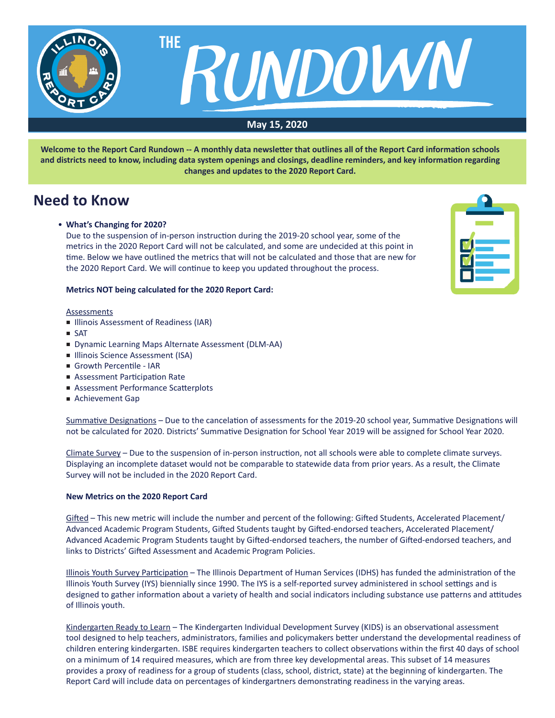

**Welcome to the Report Card Rundown -- A monthly data newsletter that outlines all of the Report Card information schools and districts need to know, including data system openings and closings, deadline reminders, and key information regarding changes and updates to the 2020 Report Card.**

## **Need to Know**

### • **What's Changing for 2020?**

 Due to the suspension of in-person instruction during the 2019-20 school year, some of the metrics in the 2020 Report Card will not be calculated, and some are undecided at this point in time. Below we have outlined the metrics that will not be calculated and those that are new for the 2020 Report Card. We will continue to keep you updated throughout the process.

#### **Metrics NOT being calculated for the 2020 Report Card:**

#### **Assessments**

- Illinois Assessment of Readiness (IAR)
- SAT
- Dynamic Learning Maps Alternate Assessment (DLM-AA)
- Illinois Science Assessment (ISA)
- Growth Percentile IAR
- Assessment Participation Rate
- Assessment Performance Scatterplots
- Achievement Gap

Summative Designations – Due to the cancelation of assessments for the 2019-20 school year, Summative Designations will not be calculated for 2020. Districts' Summative Designation for School Year 2019 will be assigned for School Year 2020.

Climate Survey – Due to the suspension of in-person instruction, not all schools were able to complete climate surveys. Displaying an incomplete dataset would not be comparable to statewide data from prior years. As a result, the Climate Survey will not be included in the 2020 Report Card.

#### **New Metrics on the 2020 Report Card**

Gifted – This new metric will include the number and percent of the following: Gifted Students, Accelerated Placement/ Advanced Academic Program Students, Gifted Students taught by Gifted-endorsed teachers, Accelerated Placement/ Advanced Academic Program Students taught by Gifted-endorsed teachers, the number of Gifted-endorsed teachers, and links to Districts' Gifted Assessment and Academic Program Policies.

Illinois Youth Survey Participation – The Illinois Department of Human Services (IDHS) has funded the administration of the Illinois Youth Survey (IYS) biennially since 1990. The IYS is a self-reported survey administered in school settings and is designed to gather information about a variety of health and social indicators including substance use patterns and attitudes of Illinois youth.

Kindergarten Ready to Learn - The Kindergarten Individual Development Survey (KIDS) is an observational assessment tool designed to help teachers, administrators, families and policymakers better understand the developmental readiness of children entering kindergarten. ISBE requires kindergarten teachers to collect observations within the first 40 days of school on a minimum of 14 required measures, which are from three key developmental areas. This subset of 14 measures provides a proxy of readiness for a group of students (class, school, district, state) at the beginning of kindergarten. The Report Card will include data on percentages of kindergartners demonstrating readiness in the varying areas.

| 2                                               |  |
|-------------------------------------------------|--|
|                                                 |  |
| Ľ<br><b>The Second Second</b><br>$\blacksquare$ |  |
| П<br><u>e se</u>                                |  |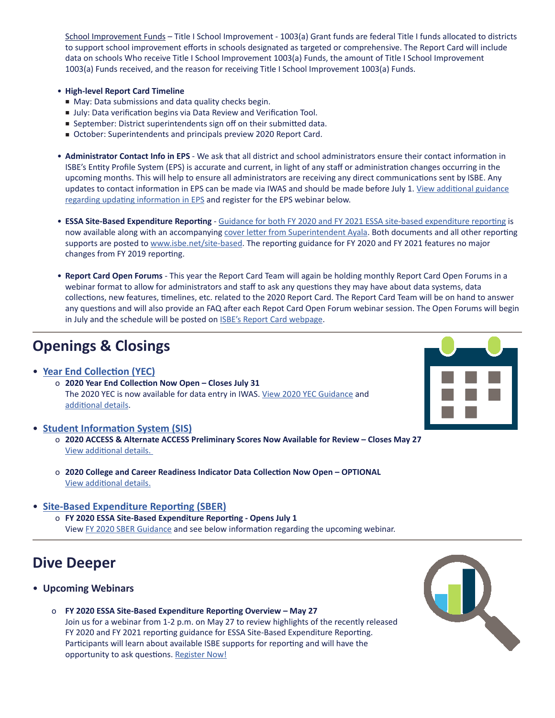School Improvement Funds – Title I School Improvement - 1003(a) Grant funds are federal Title I funds allocated to districts to support school improvement efforts in schools designated as targeted or comprehensive. The Report Card will include data on schools Who receive Title I School Improvement 1003(a) Funds, the amount of Title I School Improvement   1003(a) Funds received, and the reason for receiving Title I School Improvement 1003(a) Funds.

### • **High-level Report Card Timeline**

- May: Data submissions and data quality checks begin.
- July: Data verification begins via Data Review and Verification Tool.
- September: District superintendents sign off on their submitted data.
- October: Superintendents and principals preview 2020 Report Card.
- **Administrator Contact Info in EPS** We ask that all district and school administrators ensure their contact information in ISBE's Entity Profile System (EPS) is accurate and current, in light of any staff or administration changes occurring in the upcoming months. This will help to ensure all administrators are receiving any direct communications sent by ISBE. Any updates to contact information in EPS can be made via IWAS and should be made before July 1. View [additional](https://www.isbe.net/Documents/eps-guidelines.pdf) guidance regarding updating [information](https://www.isbe.net/Documents/eps-guidelines.pdf) in EPS and register for the EPS webinar below.
- **ESSA Site-Based Expenditure Reporting** Guidance for both FY 2020 and FY 2021 ESSA site-based [expenditure](https://www.isbe.net/Documents/SBER-Guidance-FY20-FY21.pdf) reporting is now available along with an accompanying cover letter from [Superintendent](https://www.isbe.net/Documents/Site-Based-Exp-Reporting-Guidance-FY20-FY21-cover-letter.pdf) Ayala. Both documents and all other reporting supports are posted to [www.isbe.net/site-based](http://www.isbe.net/site-based). The reporting guidance for FY 2020 and FY 2021 features no major changes from FY 2019 reporting.
- **Report Card Open Forums** This year the Report Card Team will again be holding monthly Report Card Open Forums in a webinar format to allow for administrators and staff to ask any questions they may have about data systems, data collections, new features, timelines, etc. related to the 2020 Report Card. The Report Card Team will be on hand to answer any questions and will also provide an FAQ after each Repot Card Open Forum webinar session. The Open Forums will begin in July and the schedule will be posted on **ISBE's Report Card [webpage](https://www.isbe.net/ilreportcard)**.

# **Openings & Closings**

• **[Year End Collection \(YEC\)](https://www.isbe.net/Documents/Year-End-data-Collection-Guidance.pdf)**

 $\overline{a}$ 

 o **2020 Year End Collection Now Open – Closes July 31**  The 2020 YEC is now available for data entry in IWAS. View 2020 YEC [Guidance](https://www.isbe.net/Documents/Year-End-data-Collection-Guidance.pdf) and [additional](https://www.isbe.net/Documents/YEC-Open-51320.pdf) details.

### • **[Student Information System \(SIS\)](https://www.isbe.net/Pages/Student-Information-System.aspx)**

- o **2020 ACCESS & Alternate ACCESS Preliminary Scores Now Available for Review Closes May 27** View [additional](https://www.isbe.net/Documents/ACCESS-Scores-Posted-Blast-51320.pdf) details.
- o **2020 College and Career Readiness Indicator Data Collection Now Open OPTIONAL** View [additional](https://www.isbe.net/Documents/College-Career-Readiness-Indicator-Communication-20200508.pdf) details.

## • **[Site-Based Expenditure Reporting \(SBER\)](https://www.isbe.net/site-based)**

 o **FY 2020 ESSA Site-Based Expenditure Reporting - Opens July 1** View FY 2020 SBER [Guidance](https://www.isbe.net/Documents/SBER-Guidance-FY20-FY21.pdf) and see below information regarding the upcoming webinar.

## **Dive Deeper**

- **Upcoming Webinars**
	- o **FY 2020 ESSA Site-Based Expenditure Reporting Overview May 27** Join us for a webinar from 1-2 p.m. on May 27 to review highlights of the recently released FY 2020 and FY 2021 reporting guidance for ESSA Site-Based Expenditure Reporting. Participants will learn about available ISBE supports for reporting and will have the opportunity to ask questions. [Register](https://register.gotowebinar.com/register/915093148224478223) Now!